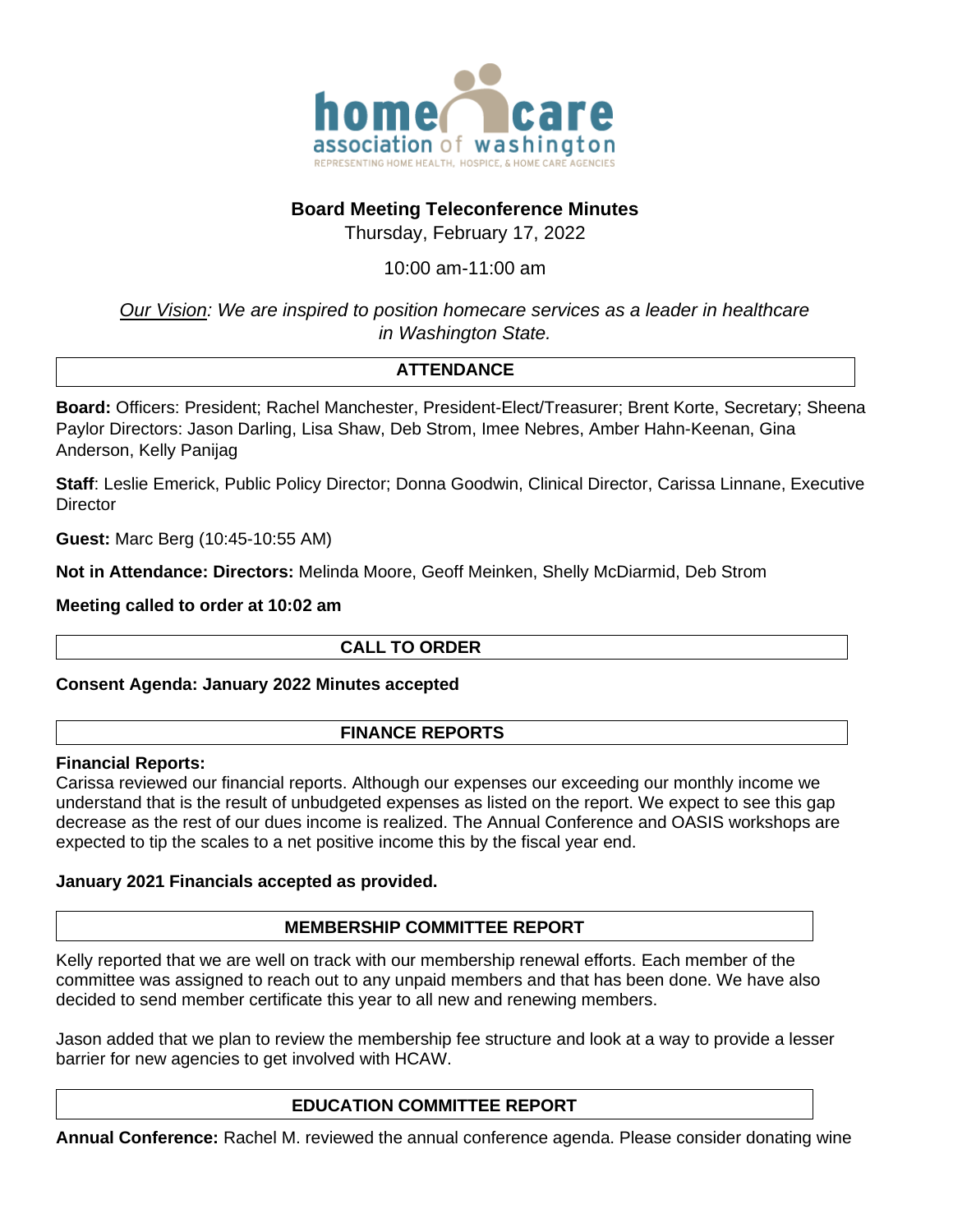

## **Board Meeting Teleconference Minutes**

Thursday, February 17, 2022

## 10:00 am-11:00 am

*Our Vision: We are inspired to position homecare services as a leader in healthcare in Washington State.*

# **ATTENDANCE**

**Board:** Officers: President; Rachel Manchester, President-Elect/Treasurer; Brent Korte, Secretary; Sheena Paylor Directors: Jason Darling, Lisa Shaw, Deb Strom, Imee Nebres, Amber Hahn-Keenan, Gina Anderson, Kelly Panijag

**Staff**: Leslie Emerick, Public Policy Director; Donna Goodwin, Clinical Director, Carissa Linnane, Executive **Director** 

**Guest:** Marc Berg (10:45-10:55 AM)

**Not in Attendance: Directors:** Melinda Moore, Geoff Meinken, Shelly McDiarmid, Deb Strom

**Meeting called to order at 10:02 am** 

## **CALL TO ORDER**

## **Consent Agenda: January 2022 Minutes accepted**

## **FINANCE REPORTS**

## **Financial Reports:**

Carissa reviewed our financial reports. Although our expenses our exceeding our monthly income we understand that is the result of unbudgeted expenses as listed on the report. We expect to see this gap decrease as the rest of our dues income is realized. The Annual Conference and OASIS workshops are expected to tip the scales to a net positive income this by the fiscal year end.

## **January 2021 Financials accepted as provided.**

## **MEMBERSHIP COMMITTEE REPORT**

Kelly reported that we are well on track with our membership renewal efforts. Each member of the committee was assigned to reach out to any unpaid members and that has been done. We have also decided to send member certificate this year to all new and renewing members.

Jason added that we plan to review the membership fee structure and look at a way to provide a lesser barrier for new agencies to get involved with HCAW.

## **EDUCATION COMMITTEE REPORT**

**Annual Conference:** Rachel M. reviewed the annual conference agenda. Please consider donating wine